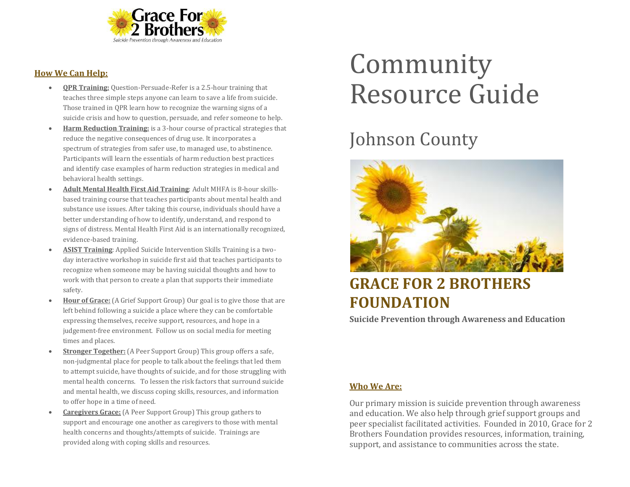

#### **How We Can Help:**

- **QPR Training:** Question-Persuade-Refer is a 2.5-hour training that teaches three simple steps anyone can learn to save a life from suicide. Those trained in QPR learn how to recognize the warning signs of a suicide crisis and how to question, persuade, and refer someone to help.
- **Harm Reduction Training:** is a 3-hour course of practical strategies that reduce the negative consequences of drug use. It incorporates a spectrum of strategies from safer use, to managed use, to abstinence. Participants will learn the essentials of harm reduction best practices and identify case examples of harm reduction strategies in medical and behavioral health settings.
- **Adult Mental Health First Aid Training**: Adult MHFA is 8-hour skillsbased training course that teaches participants about mental health and substance use issues. After taking this course, individuals should have a better understanding of how to identify, understand, and respond to signs of distress. Mental Health First Aid is an internationally recognized, evidence-based training.
- **ASIST Training**: Applied Suicide Intervention Skills Training is a twoday interactive workshop in suicide first aid that teaches participants to recognize when someone may be having suicidal thoughts and how to work with that person to create a plan that supports their immediate safety.
- **Hour of Grace:** (A Grief Support Group) Our goal is to give those that are left behind following a suicide a place where they can be comfortable expressing themselves, receive support, resources, and hope in a judgement-free environment. Follow us on social media for meeting times and places.
- **Stronger Together:** (A Peer Support Group) This group offers a safe, non-judgmental place for people to talk about the feelings that led them to attempt suicide, have thoughts of suicide, and for those struggling with mental health concerns. To lessen the risk factors that surround suicide and mental health, we discuss coping skills, resources, and information to offer hope in a time of need.
- **Caregivers Grace:** (A Peer Support Group) This group gathers to support and encourage one another as caregivers to those with mental health concerns and thoughts/attempts of suicide. Trainings are provided along with coping skills and resources.

# Community Resource Guide

## Johnson County



### **GRACE FOR 2 BROTHERS FOUNDATION**

**Suicide Prevention through Awareness and Education**

#### **Who We Are:**

Our primary mission is suicide prevention through awareness and education. We also help through grief support groups and peer specialist facilitated activities. Founded in 2010, Grace for 2 Brothers Foundation provides resources, information, training, support, and assistance to communities across the state.